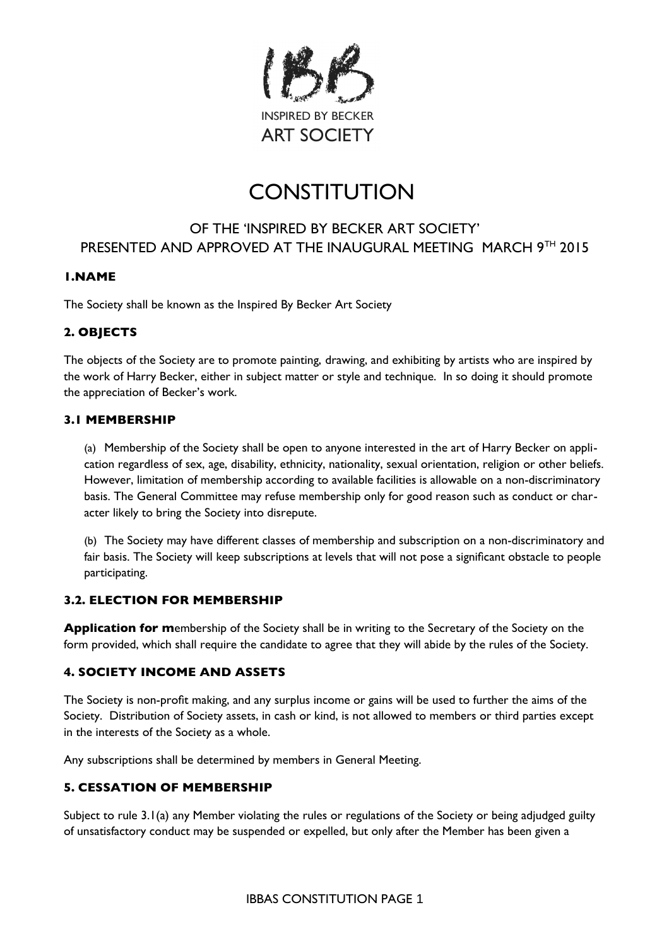

# **CONSTITUTION**

# OF THE 'INSPIRED BY BECKER ART SOCIETY' PRESENTED AND APPROVED AT THE INAUGURAL MEETING MARCH 9TH 2015

# **1.NAME**

The Society shall be known as the Inspired By Becker Art Society

# **2. OBJECTS**

The objects of the Society are to promote painting, drawing, and exhibiting by artists who are inspired by the work of Harry Becker, either in subject matter or style and technique. In so doing it should promote the appreciation of Becker's work.

### **3.1 MEMBERSHIP**

(a) Membership of the Society shall be open to anyone interested in the art of Harry Becker on application regardless of sex, age, disability, ethnicity, nationality, sexual orientation, religion or other beliefs. However, limitation of membership according to available facilities is allowable on a non-discriminatory basis. The General Committee may refuse membership only for good reason such as conduct or character likely to bring the Society into disrepute.

(b) The Society may have different classes of membership and subscription on a non-discriminatory and fair basis. The Society will keep subscriptions at levels that will not pose a signifcant obstacle to people participating.

### **3.2. ELECTION FOR MEMBERSHIP**

**Application for m**embership of the Society shall be in writing to the Secretary of the Society on the form provided, which shall require the candidate to agree that they will abide by the rules of the Society.

### **4. SOCIETY INCOME AND ASSETS**

The Society is non-proft making, and any surplus income or gains will be used to further the aims of the Society. Distribution of Society assets, in cash or kind, is not allowed to members or third parties except in the interests of the Society as a whole.

Any subscriptions shall be determined by members in General Meeting.

### **5. CESSATION OF MEMBERSHIP**

Subject to rule 3.1(a) any Member violating the rules or regulations of the Society or being adjudged guilty of unsatisfactory conduct may be suspended or expelled, but only after the Member has been given a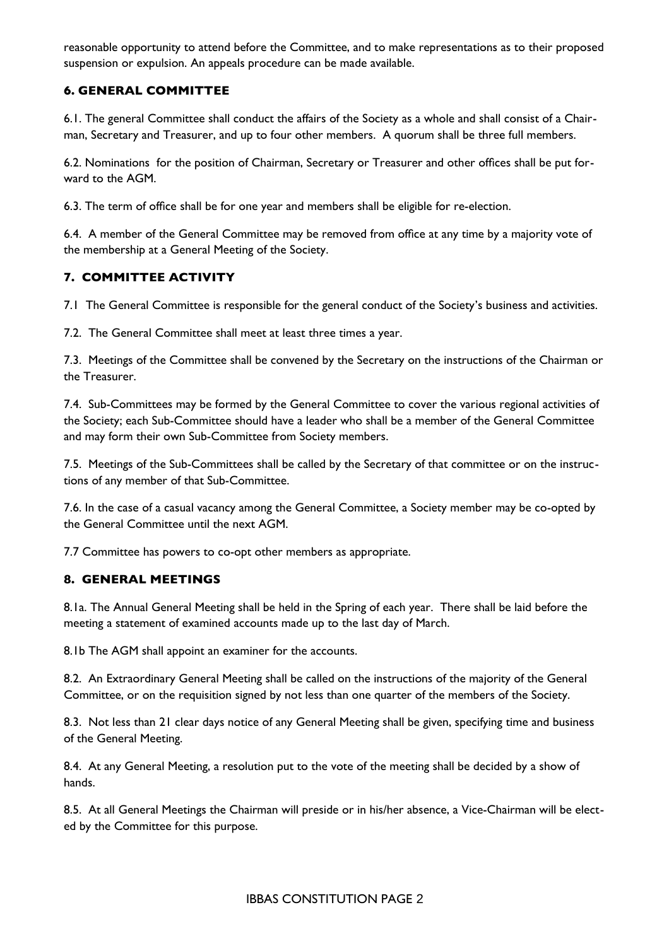reasonable opportunity to attend before the Committee, and to make representations as to their proposed suspension or expulsion. An appeals procedure can be made available.

# **6. GENERAL COMMITTEE**

6.1. The general Committee shall conduct the affairs of the Society as a whole and shall consist of a Chairman, Secretary and Treasurer, and up to four other members. A quorum shall be three full members.

6.2. Nominations for the position of Chairman, Secretary or Treasurer and other offces shall be put forward to the AGM.

6.3. The term of offce shall be for one year and members shall be eligible for re-election.

6.4. A member of the General Committee may be removed from office at any time by a majority vote of the membership at a General Meeting of the Society.

### **7. COMMITTEE ACTIVITY**

7.1 The General Committee is responsible for the general conduct of the Society's business and activities.

7.2. The General Committee shall meet at least three times a year.

7.3. Meetings of the Committee shall be convened by the Secretary on the instructions of the Chairman or the Treasurer.

7.4. Sub-Committees may be formed by the General Committee to cover the various regional activities of the Society; each Sub-Committee should have a leader who shall be a member of the General Committee and may form their own Sub-Committee from Society members.

7.5. Meetings of the Sub-Committees shall be called by the Secretary of that committee or on the instructions of any member of that Sub-Committee.

7.6. In the case of a casual vacancy among the General Committee, a Society member may be co-opted by the General Committee until the next AGM.

7.7 Committee has powers to co-opt other members as appropriate.

### **8. GENERAL MEETINGS**

8.1a. The Annual General Meeting shall be held in the Spring of each year. There shall be laid before the meeting a statement of examined accounts made up to the last day of March.

8.1b The AGM shall appoint an examiner for the accounts.

8.2. An Extraordinary General Meeting shall be called on the instructions of the majority of the General Committee, or on the requisition signed by not less than one quarter of the members of the Society.

8.3. Not less than 21 clear days notice of any General Meeting shall be given, specifying time and business of the General Meeting.

8.4. At any General Meeting, a resolution put to the vote of the meeting shall be decided by a show of hands.

8.5. At all General Meetings the Chairman will preside or in his/her absence, a Vice-Chairman will be elected by the Committee for this purpose.